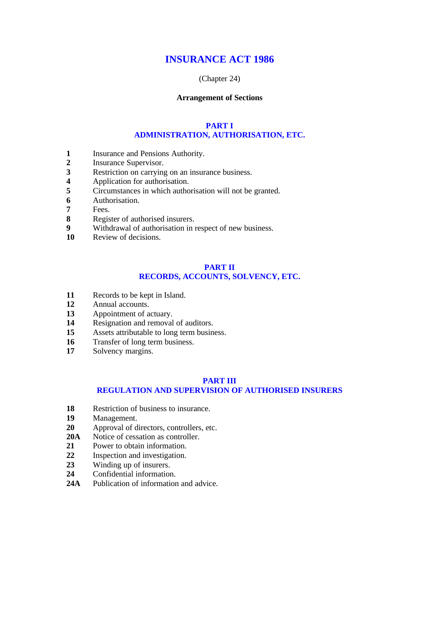# **INSURANCE ACT 1986**

# (Chapter 24)

# **Arrangement of Sections**

# **PART I ADMINISTRATION, AUTHORISATION, ETC.**

- **1** Insurance and Pensions Authority.
- **2** Insurance Supervisor.
- **3** Restriction on carrying on an insurance business.<br>**4** Application for authorisation.
- **4** Application for authorisation.<br>5 Circumstances in which author
- **5** Circumstances in which authorisation will not be granted.<br>**6** Authorisation.
- **6** Authorisation.
- **7** Fees.
- **8** Register of authorised insurers.
- **9** Withdrawal of authorisation in respect of new business.
- **10** Review of decisions.

# **PART II RECORDS, ACCOUNTS, SOLVENCY, ETC.**

- **11** Records to be kept in Island.
- **12** Annual accounts.
- **13** Appointment of actuary.
- 14 Resignation and removal of auditors.
- **15** Assets attributable to long term business.
- **16** Transfer of long term business.<br>**17** Solvency margins.
- Solvency margins.

## **PART III REGULATION AND SUPERVISION OF AUTHORISED INSURERS**

- 18 Restriction of business to insurance.<br>19 Management.
- **19** Management.
- **20** Approval of directors, controllers, etc.
- **20A** Notice of cessation as controller.
- **21** Power to obtain information.
- 22 Inspection and investigation.<br>23 Winding up of insurers.
- **23** Winding up of insurers.
- **24** Confidential information.
- **24A** Publication of information and advice.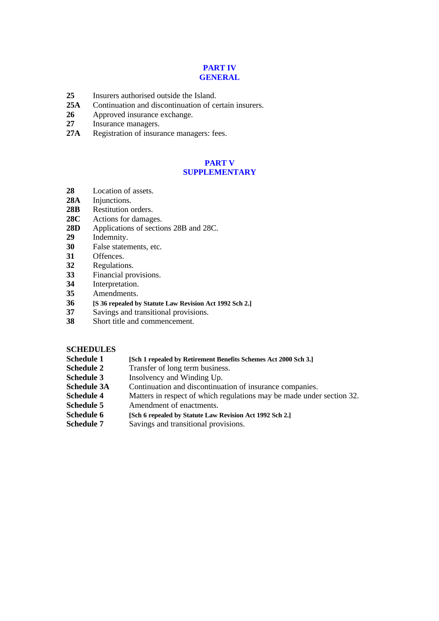# **PART IV GENERAL**

- 25 Insurers authorised outside the Island.<br>25A Continuation and discontinuation of ce
- **25A** Continuation and discontinuation of certain insurers.
- 26 Approved insurance exchange.<br>27 Insurance managers.
- **27** Insurance managers.
- **27A** Registration of insurance managers: fees.

# **PART V SUPPLEMENTARY**

- **28** Location of assets.
- 28A Injunctions.
- **28B** Restitution orders.
- **28C** Actions for damages.
- **28D** Applications of sections 28B and 28C.
- **29** Indemnity.
- 30 False statements, etc.<br>31 Offences.
- **31** Offences.
- 32 Regulations.<br>33 Financial pro
- **33** Financial provisions.
- **34** Interpretation.
- **35** Amendments.
- **36 [S 36 repealed by Statute Law Revision Act 1992 Sch 2.]**
- **37** Savings and transitional provisions.
- **38** Short title and commencement.

# **SCHEDULES**

- **Schedule 1 [Sch 1 repealed by Retirement Benefits Schemes Act 2000 Sch 3.]**<br>**Schedule 2** *Transfer of long term business.*
- Transfer of long term business.
- **Schedule 3** Insolvency and Winding Up.
- **Schedule 3A** Continuation and discontinuation of insurance companies.<br> **Schedule 4** Matters in respect of which regulations may be made under
- Matters in respect of which regulations may be made under section 32.
- **Schedule 5** Amendment of enactments.
- **Schedule 6 [Sch 6 repealed by Statute Law Revision Act 1992 Sch 2.]**
- **Schedule 7** Savings and transitional provisions.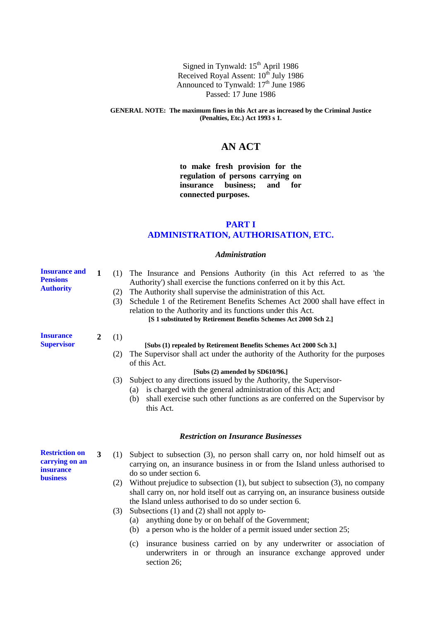Signed in Tynwald: 15<sup>th</sup> April 1986 Received Royal Assent: 10<sup>th</sup> July 1986 Announced to Tynwald: 17<sup>th</sup> June 1986 Passed: 17 June 1986

### **GENERAL NOTE: The maximum fines in this Act are as increased by the Criminal Justice (Penalties, Etc.) Act 1993 s 1.**

# **AN ACT**

**to make fresh provision for the regulation of persons carrying on insurance business; and for connected purposes.**

# **PART I ADMINISTRATION, AUTHORISATION, ETC.**

# *Administration*

| <b>Insurance and</b><br><b>Pensions</b><br><b>Authority</b>                    | 1              | The Insurance and Pensions Authority (in this Act referred to as 'the<br>(1)<br>Authority') shall exercise the functions conferred on it by this Act.<br>The Authority shall supervise the administration of this Act.<br>(2)<br>Schedule 1 of the Retirement Benefits Schemes Act 2000 shall have effect in<br>(3)<br>relation to the Authority and its functions under this Act.<br>[S 1 substituted by Retirement Benefits Schemes Act 2000 Sch 2.]                                                                                                                                                                                      |
|--------------------------------------------------------------------------------|----------------|---------------------------------------------------------------------------------------------------------------------------------------------------------------------------------------------------------------------------------------------------------------------------------------------------------------------------------------------------------------------------------------------------------------------------------------------------------------------------------------------------------------------------------------------------------------------------------------------------------------------------------------------|
| <b>Insurance</b><br><b>Supervisor</b>                                          | $\overline{2}$ | (1)<br>[Subs (1) repealed by Retirement Benefits Schemes Act 2000 Sch 3.]<br>The Supervisor shall act under the authority of the Authority for the purposes<br>(2)<br>of this Act.<br>[Subs (2) amended by SD610/96.]<br>Subject to any directions issued by the Authority, the Supervisor-<br>(3)<br>is charged with the general administration of this Act; and<br>(a)<br>shall exercise such other functions as are conferred on the Supervisor by<br>(b)<br>this Act.                                                                                                                                                                   |
|                                                                                |                | <b>Restriction on Insurance Businesses</b>                                                                                                                                                                                                                                                                                                                                                                                                                                                                                                                                                                                                  |
| <b>Restriction on</b><br>carrying on an<br><i>insurance</i><br><b>business</b> | 3              | Subject to subsection (3), no person shall carry on, nor hold himself out as<br>(1)<br>carrying on, an insurance business in or from the Island unless authorised to<br>do so under section 6.<br>Without prejudice to subsection $(1)$ , but subject to subsection $(3)$ , no company<br>(2)<br>shall carry on, nor hold itself out as carrying on, an insurance business outside<br>the Island unless authorised to do so under section 6.<br>Subsections $(1)$ and $(2)$ shall not apply to-<br>(3)<br>anything done by or on behalf of the Government;<br>(a)<br>a person who is the holder of a permit issued under section 25;<br>(b) |

(c) insurance business carried on by any underwriter or association of underwriters in or through an insurance exchange approved under section 26;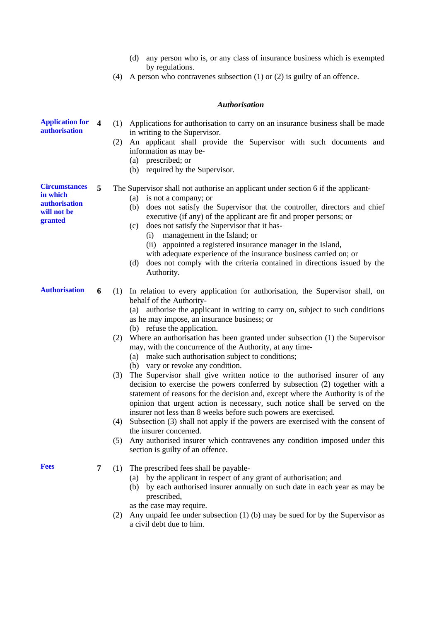|                                                                                    |                         | any person who is, or any class of insurance business which is exempted<br>(d)<br>by regulations.<br>A person who contravenes subsection $(1)$ or $(2)$ is guilty of an offence.<br>(4)                                                                                                                                                                                                                                                                                                                                                                                                                                                                                                                                                                                                                                                                                                                                                                                                                                                                                                                                                                             |
|------------------------------------------------------------------------------------|-------------------------|---------------------------------------------------------------------------------------------------------------------------------------------------------------------------------------------------------------------------------------------------------------------------------------------------------------------------------------------------------------------------------------------------------------------------------------------------------------------------------------------------------------------------------------------------------------------------------------------------------------------------------------------------------------------------------------------------------------------------------------------------------------------------------------------------------------------------------------------------------------------------------------------------------------------------------------------------------------------------------------------------------------------------------------------------------------------------------------------------------------------------------------------------------------------|
|                                                                                    |                         | <b>Authorisation</b>                                                                                                                                                                                                                                                                                                                                                                                                                                                                                                                                                                                                                                                                                                                                                                                                                                                                                                                                                                                                                                                                                                                                                |
| <b>Application for</b><br>authorisation                                            | $\overline{\mathbf{4}}$ | (1) Applications for authorisation to carry on an insurance business shall be made<br>in writing to the Supervisor.<br>An applicant shall provide the Supervisor with such documents and<br>(2)<br>information as may be-<br>(a) prescribed; or<br>(b) required by the Supervisor.                                                                                                                                                                                                                                                                                                                                                                                                                                                                                                                                                                                                                                                                                                                                                                                                                                                                                  |
| <b>Circumstances</b><br>in which<br><b>authorization</b><br>will not be<br>granted | 5                       | The Supervisor shall not authorise an applicant under section 6 if the applicant-<br>(a) is not a company; or<br>does not satisfy the Supervisor that the controller, directors and chief<br>(b)<br>executive (if any) of the applicant are fit and proper persons; or<br>does not satisfy the Supervisor that it has-<br>(c)<br>management in the Island; or<br>(i)<br>(ii) appointed a registered insurance manager in the Island,<br>with adequate experience of the insurance business carried on; or<br>does not comply with the criteria contained in directions issued by the<br>(d)<br>Authority.                                                                                                                                                                                                                                                                                                                                                                                                                                                                                                                                                           |
| <b>Authorisation</b>                                                               | 6                       | (1) In relation to every application for authorisation, the Supervisor shall, on<br>behalf of the Authority-<br>(a) authorise the applicant in writing to carry on, subject to such conditions<br>as he may impose, an insurance business; or<br>(b) refuse the application.<br>(2) Where an authorisation has been granted under subsection (1) the Supervisor<br>may, with the concurrence of the Authority, at any time-<br>(a) make such authorisation subject to conditions;<br>(b) vary or revoke any condition.<br>The Supervisor shall give written notice to the authorised insurer of any<br>(3)<br>decision to exercise the powers conferred by subsection (2) together with a<br>statement of reasons for the decision and, except where the Authority is of the<br>opinion that urgent action is necessary, such notice shall be served on the<br>insurer not less than 8 weeks before such powers are exercised.<br>(4) Subsection (3) shall not apply if the powers are exercised with the consent of<br>the insurer concerned.<br>(5) Any authorised insurer which contravenes any condition imposed under this<br>section is guilty of an offence. |
| <b>Fees</b>                                                                        | 7                       | (1) The prescribed fees shall be payable-<br>(a) by the applicant in respect of any grant of authorisation; and<br>(b) by each authorised insurer annually on such date in each year as may be<br>prescribed,<br>as the case may require.<br>(2) Any unpaid fee under subsection (1) (b) may be sued for by the Supervisor as<br>a civil debt due to him.                                                                                                                                                                                                                                                                                                                                                                                                                                                                                                                                                                                                                                                                                                                                                                                                           |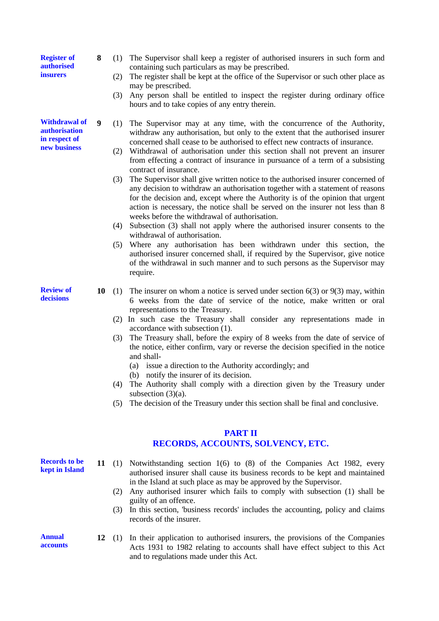**Register of authorised insurers**

**Withdrawal of authorisation in respect of new business**

- **8** (1) The Supervisor shall keep a register of authorised insurers in such form and containing such particulars as may be prescribed.
	- (2) The register shall be kept at the office of the Supervisor or such other place as may be prescribed.
	- (3) Any person shall be entitled to inspect the register during ordinary office hours and to take copies of any entry therein.
- **9** (1) The Supervisor may at any time, with the concurrence of the Authority, withdraw any authorisation, but only to the extent that the authorised insurer concerned shall cease to be authorised to effect new contracts of insurance.
	- (2) Withdrawal of authorisation under this section shall not prevent an insurer from effecting a contract of insurance in pursuance of a term of a subsisting contract of insurance.
	- (3) The Supervisor shall give written notice to the authorised insurer concerned of any decision to withdraw an authorisation together with a statement of reasons for the decision and, except where the Authority is of the opinion that urgent action is necessary, the notice shall be served on the insurer not less than 8 weeks before the withdrawal of authorisation.
	- (4) Subsection (3) shall not apply where the authorised insurer consents to the withdrawal of authorisation.
	- (5) Where any authorisation has been withdrawn under this section, the authorised insurer concerned shall, if required by the Supervisor, give notice of the withdrawal in such manner and to such persons as the Supervisor may require.
- **10** (1) The insurer on whom a notice is served under section 6(3) or 9(3) may, within 6 weeks from the date of service of the notice, make written or oral representations to the Treasury.
	- (2) In such case the Treasury shall consider any representations made in accordance with subsection (1).
	- (3) The Treasury shall, before the expiry of 8 weeks from the date of service of the notice, either confirm, vary or reverse the decision specified in the notice and shall-
		- (a) issue a direction to the Authority accordingly; and
		- (b) notify the insurer of its decision.
	- (4) The Authority shall comply with a direction given by the Treasury under subsection (3)(a).
	- (5) The decision of the Treasury under this section shall be final and conclusive.

# **PART II RECORDS, ACCOUNTS, SOLVENCY, ETC.**

- **11** (1) Notwithstanding section 1(6) to (8) of the Companies Act 1982, every authorised insurer shall cause its business records to be kept and maintained in the Island at such place as may be approved by the Supervisor.
	- (2) Any authorised insurer which fails to comply with subsection (1) shall be guilty of an offence.
	- (3) In this section, 'business records' includes the accounting, policy and claims records of the insurer.
- **12** (1) In their application to authorised insurers, the provisions of the Companies Acts 1931 to 1982 relating to accounts shall have effect subject to this Act and to regulations made under this Act.

**Review of decisions**

**Records to be kept in Island**

**Annual accounts**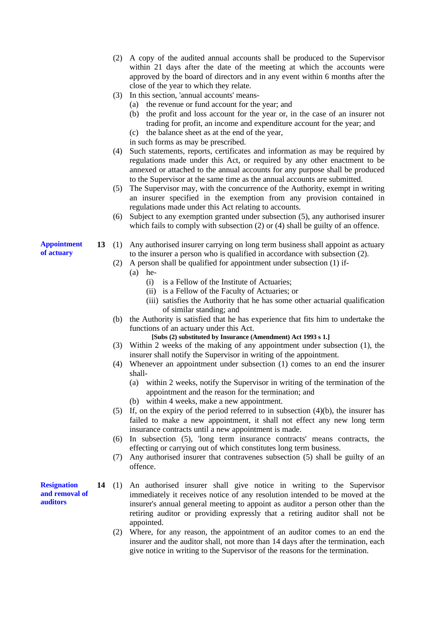- (2) A copy of the audited annual accounts shall be produced to the Supervisor within 21 days after the date of the meeting at which the accounts were approved by the board of directors and in any event within 6 months after the close of the year to which they relate.
- (3) In this section, 'annual accounts' means-
	- (a) the revenue or fund account for the year; and
	- (b) the profit and loss account for the year or, in the case of an insurer not trading for profit, an income and expenditure account for the year; and
	- (c) the balance sheet as at the end of the year,
	- in such forms as may be prescribed.
- (4) Such statements, reports, certificates and information as may be required by regulations made under this Act, or required by any other enactment to be annexed or attached to the annual accounts for any purpose shall be produced to the Supervisor at the same time as the annual accounts are submitted.
- (5) The Supervisor may, with the concurrence of the Authority, exempt in writing an insurer specified in the exemption from any provision contained in regulations made under this Act relating to accounts.
- (6) Subject to any exemption granted under subsection (5), any authorised insurer which fails to comply with subsection (2) or (4) shall be guilty of an offence.
- **13** (1) Any authorised insurer carrying on long term business shall appoint as actuary to the insurer a person who is qualified in accordance with subsection (2).
	- (2) A person shall be qualified for appointment under subsection (1) if-
		- (a) he-
			- (i) is a Fellow of the Institute of Actuaries;
			- (ii) is a Fellow of the Faculty of Actuaries; or
			- (iii) satisfies the Authority that he has some other actuarial qualification of similar standing; and
	- (b) the Authority is satisfied that he has experience that fits him to undertake the functions of an actuary under this Act.
		- **[Subs (2) substituted by Insurance (Amendment) Act 1993 s 1.]**
	- (3) Within 2 weeks of the making of any appointment under subsection (1), the insurer shall notify the Supervisor in writing of the appointment.
	- (4) Whenever an appointment under subsection (1) comes to an end the insurer shall-
		- (a) within 2 weeks, notify the Supervisor in writing of the termination of the appointment and the reason for the termination; and
		- (b) within 4 weeks, make a new appointment.
	- (5) If, on the expiry of the period referred to in subsection (4)(b), the insurer has failed to make a new appointment, it shall not effect any new long term insurance contracts until a new appointment is made.
	- (6) In subsection (5), 'long term insurance contracts' means contracts, the effecting or carrying out of which constitutes long term business.
	- (7) Any authorised insurer that contravenes subsection (5) shall be guilty of an offence.
- **14** (1) An authorised insurer shall give notice in writing to the Supervisor immediately it receives notice of any resolution intended to be moved at the insurer's annual general meeting to appoint as auditor a person other than the retiring auditor or providing expressly that a retiring auditor shall not be appointed.
	- (2) Where, for any reason, the appointment of an auditor comes to an end the insurer and the auditor shall, not more than 14 days after the termination, each give notice in writing to the Supervisor of the reasons for the termination.

**Appointment of actuary**

**Resignation and removal of auditors**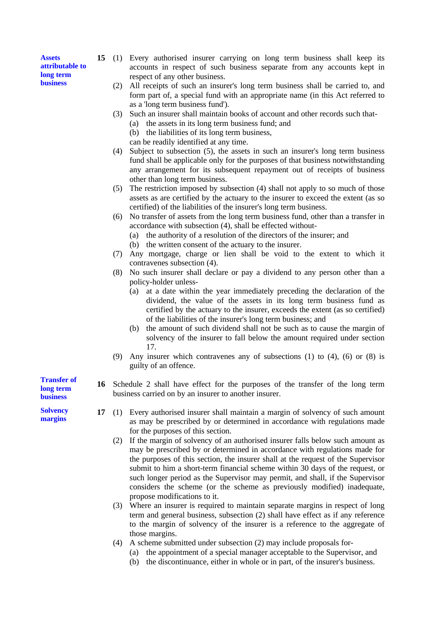**Assets attributable to long term business**

- **15** (1) Every authorised insurer carrying on long term business shall keep its accounts in respect of such business separate from any accounts kept in respect of any other business.
	- (2) All receipts of such an insurer's long term business shall be carried to, and form part of, a special fund with an appropriate name (in this Act referred to as a 'long term business fund').
	- (3) Such an insurer shall maintain books of account and other records such that-
		- (a) the assets in its long term business fund; and
		- (b) the liabilities of its long term business,
		- can be readily identified at any time.
	- (4) Subject to subsection (5), the assets in such an insurer's long term business fund shall be applicable only for the purposes of that business notwithstanding any arrangement for its subsequent repayment out of receipts of business other than long term business.
	- (5) The restriction imposed by subsection (4) shall not apply to so much of those assets as are certified by the actuary to the insurer to exceed the extent (as so certified) of the liabilities of the insurer's long term business.
	- (6) No transfer of assets from the long term business fund, other than a transfer in accordance with subsection (4), shall be effected without-
		- (a) the authority of a resolution of the directors of the insurer; and
		- (b) the written consent of the actuary to the insurer.
	- (7) Any mortgage, charge or lien shall be void to the extent to which it contravenes subsection (4).
	- (8) No such insurer shall declare or pay a dividend to any person other than a policy-holder unless-
		- (a) at a date within the year immediately preceding the declaration of the dividend, the value of the assets in its long term business fund as certified by the actuary to the insurer, exceeds the extent (as so certified) of the liabilities of the insurer's long term business; and
		- (b) the amount of such dividend shall not be such as to cause the margin of solvency of the insurer to fall below the amount required under section 17.
	- (9) Any insurer which contravenes any of subsections (1) to (4), (6) or (8) is guilty of an offence.
- **16** Schedule 2 shall have effect for the purposes of the transfer of the long term business carried on by an insurer to another insurer.
- **17** (1) Every authorised insurer shall maintain a margin of solvency of such amount as may be prescribed by or determined in accordance with regulations made for the purposes of this section.
	- (2) If the margin of solvency of an authorised insurer falls below such amount as may be prescribed by or determined in accordance with regulations made for the purposes of this section, the insurer shall at the request of the Supervisor submit to him a short-term financial scheme within 30 days of the request, or such longer period as the Supervisor may permit, and shall, if the Supervisor considers the scheme (or the scheme as previously modified) inadequate, propose modifications to it.
	- (3) Where an insurer is required to maintain separate margins in respect of long term and general business, subsection (2) shall have effect as if any reference to the margin of solvency of the insurer is a reference to the aggregate of those margins.
	- (4) A scheme submitted under subsection (2) may include proposals for-
		- (a) the appointment of a special manager acceptable to the Supervisor, and
		- (b) the discontinuance, either in whole or in part, of the insurer's business.

**Transfer of long term business**

**Solvency margins**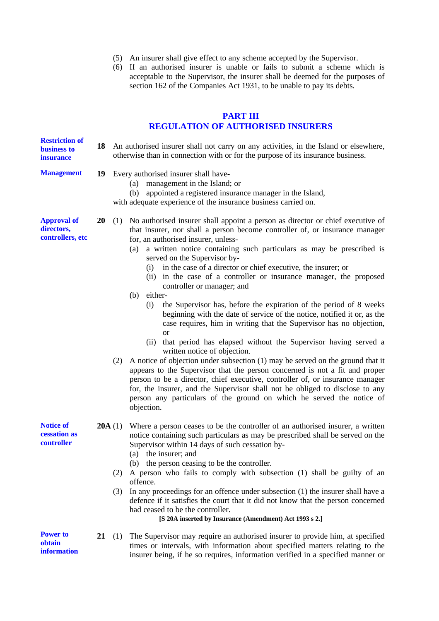- (5) An insurer shall give effect to any scheme accepted by the Supervisor.
- (6) If an authorised insurer is unable or fails to submit a scheme which is acceptable to the Supervisor, the insurer shall be deemed for the purposes of section 162 of the Companies Act 1931, to be unable to pay its debts.

# **PART III**

# **REGULATION OF AUTHORISED INSURERS**

| <b>Restriction of</b><br>business to<br>insurance    | 18               | An authorised insurer shall not carry on any activities, in the Island or elsewhere,<br>otherwise than in connection with or for the purpose of its insurance business.                                                                                                                                                                                                                                                                                                                                                                                                                                                                                                                                                                                                                                                                                                                                                                                                                                                                                                                                                                                                                                                                                                                                       |  |  |
|------------------------------------------------------|------------------|---------------------------------------------------------------------------------------------------------------------------------------------------------------------------------------------------------------------------------------------------------------------------------------------------------------------------------------------------------------------------------------------------------------------------------------------------------------------------------------------------------------------------------------------------------------------------------------------------------------------------------------------------------------------------------------------------------------------------------------------------------------------------------------------------------------------------------------------------------------------------------------------------------------------------------------------------------------------------------------------------------------------------------------------------------------------------------------------------------------------------------------------------------------------------------------------------------------------------------------------------------------------------------------------------------------|--|--|
| <b>Management</b>                                    |                  | 19 Every authorised insurer shall have-<br>management in the Island; or<br>(a)<br>appointed a registered insurance manager in the Island,<br>(b)<br>with adequate experience of the insurance business carried on.                                                                                                                                                                                                                                                                                                                                                                                                                                                                                                                                                                                                                                                                                                                                                                                                                                                                                                                                                                                                                                                                                            |  |  |
| <b>Approval of</b><br>directors,<br>controllers, etc | 20               | (1) No authorised insurer shall appoint a person as director or chief executive of<br>that insurer, nor shall a person become controller of, or insurance manager<br>for, an authorised insurer, unless-<br>a written notice containing such particulars as may be prescribed is<br>(a)<br>served on the Supervisor by-<br>in the case of a director or chief executive, the insurer; or<br>(i)<br>(ii) in the case of a controller or insurance manager, the proposed<br>controller or manager; and<br>either-<br>(b)<br>the Supervisor has, before the expiration of the period of 8 weeks<br>(i)<br>beginning with the date of service of the notice, notified it or, as the<br>case requires, him in writing that the Supervisor has no objection,<br><b>or</b><br>that period has elapsed without the Supervisor having served a<br>(ii)<br>written notice of objection.<br>A notice of objection under subsection (1) may be served on the ground that it<br>(2)<br>appears to the Supervisor that the person concerned is not a fit and proper<br>person to be a director, chief executive, controller of, or insurance manager<br>for, the insurer, and the Supervisor shall not be obliged to disclose to any<br>person any particulars of the ground on which he served the notice of<br>objection. |  |  |
| <b>Notice of</b><br>cessation as<br>controller       | <b>20A</b> $(1)$ | Where a person ceases to be the controller of an authorised insurer, a written<br>notice containing such particulars as may be prescribed shall be served on the<br>Supervisor within 14 days of such cessation by-<br>(a) the insurer; and<br>(b) the person ceasing to be the controller.<br>A person who fails to comply with subsection (1) shall be guilty of an<br>(2)<br>offence.<br>In any proceedings for an offence under subsection (1) the insurer shall have a<br>(3)<br>defence if it satisfies the court that it did not know that the person concerned<br>had ceased to be the controller.<br>[S 20A inserted by Insurance (Amendment) Act 1993 s 2.]                                                                                                                                                                                                                                                                                                                                                                                                                                                                                                                                                                                                                                         |  |  |
| <b>Power to</b><br>obtain<br><b>information</b>      | 21               | The Supervisor may require an authorised insurer to provide him, at specified<br>(1)<br>times or intervals, with information about specified matters relating to the<br>insurer being, if he so requires, information verified in a specified manner or                                                                                                                                                                                                                                                                                                                                                                                                                                                                                                                                                                                                                                                                                                                                                                                                                                                                                                                                                                                                                                                       |  |  |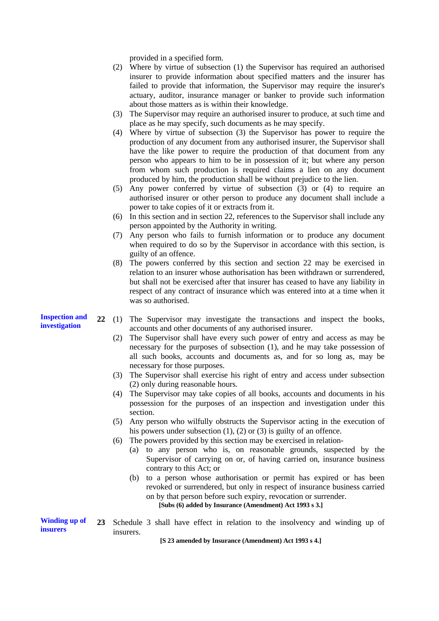provided in a specified form.

- (2) Where by virtue of subsection (1) the Supervisor has required an authorised insurer to provide information about specified matters and the insurer has failed to provide that information, the Supervisor may require the insurer's actuary, auditor, insurance manager or banker to provide such information about those matters as is within their knowledge.
- (3) The Supervisor may require an authorised insurer to produce, at such time and place as he may specify, such documents as he may specify.
- (4) Where by virtue of subsection (3) the Supervisor has power to require the production of any document from any authorised insurer, the Supervisor shall have the like power to require the production of that document from any person who appears to him to be in possession of it; but where any person from whom such production is required claims a lien on any document produced by him, the production shall be without prejudice to the lien.
- (5) Any power conferred by virtue of subsection (3) or (4) to require an authorised insurer or other person to produce any document shall include a power to take copies of it or extracts from it.
- (6) In this section and in section 22, references to the Supervisor shall include any person appointed by the Authority in writing.
- (7) Any person who fails to furnish information or to produce any document when required to do so by the Supervisor in accordance with this section, is guilty of an offence.
- (8) The powers conferred by this section and section 22 may be exercised in relation to an insurer whose authorisation has been withdrawn or surrendered, but shall not be exercised after that insurer has ceased to have any liability in respect of any contract of insurance which was entered into at a time when it was so authorised.
- **22** (1) The Supervisor may investigate the transactions and inspect the books, accounts and other documents of any authorised insurer.
	- (2) The Supervisor shall have every such power of entry and access as may be necessary for the purposes of subsection (1), and he may take possession of all such books, accounts and documents as, and for so long as, may be necessary for those purposes.
	- (3) The Supervisor shall exercise his right of entry and access under subsection (2) only during reasonable hours.
	- (4) The Supervisor may take copies of all books, accounts and documents in his possession for the purposes of an inspection and investigation under this section.
	- (5) Any person who wilfully obstructs the Supervisor acting in the execution of his powers under subsection (1), (2) or (3) is guilty of an offence.
	- (6) The powers provided by this section may be exercised in relation-
		- (a) to any person who is, on reasonable grounds, suspected by the Supervisor of carrying on or, of having carried on, insurance business contrary to this Act; or
		- (b) to a person whose authorisation or permit has expired or has been revoked or surrendered, but only in respect of insurance business carried on by that person before such expiry, revocation or surrender. **[Subs (6) added by Insurance (Amendment) Act 1993 s 3.]**

**Winding up of insurers 23** Schedule 3 shall have effect in relation to the insolvency and winding up of insurers.

**[S 23 amended by Insurance (Amendment) Act 1993 s 4.]**

**Inspection and investigation**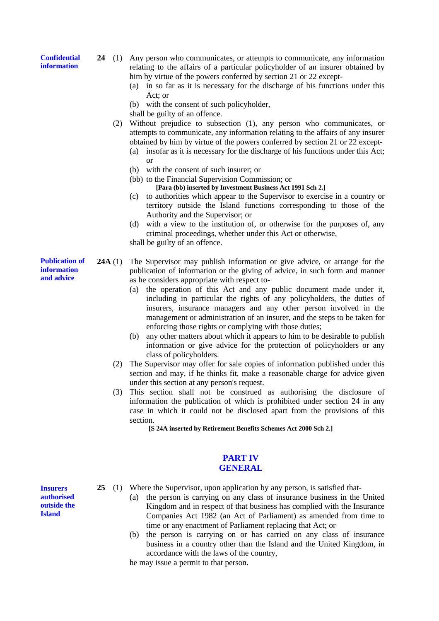**Confidential information**

**24** (1) Any person who communicates, or attempts to communicate, any information relating to the affairs of a particular policyholder of an insurer obtained by him by virtue of the powers conferred by section 21 or 22 except-

- (a) in so far as it is necessary for the discharge of his functions under this Act; or
- (b) with the consent of such policyholder,
- shall be guilty of an offence.
- (2) Without prejudice to subsection (1), any person who communicates, or attempts to communicate, any information relating to the affairs of any insurer obtained by him by virtue of the powers conferred by section 21 or 22 except-
	- (a) insofar as it is necessary for the discharge of his functions under this Act; or
	- (b) with the consent of such insurer; or
	- (bb) to the Financial Supervision Commission; or **[Para (bb) inserted by Investment Business Act 1991 Sch 2.]**
	- (c) to authorities which appear to the Supervisor to exercise in a country or territory outside the Island functions corresponding to those of the Authority and the Supervisor; or
	- (d) with a view to the institution of, or otherwise for the purposes of, any criminal proceedings, whether under this Act or otherwise,

shall be guilty of an offence.

- **Publication of 24A** (1) The Supervisor may publish information or give advice, or arrange for the publication of information or the giving of advice, in such form and manner as he considers appropriate with respect to-
	- (a) the operation of this Act and any public document made under it, including in particular the rights of any policyholders, the duties of insurers, insurance managers and any other person involved in the management or administration of an insurer, and the steps to be taken for enforcing those rights or complying with those duties;
	- (b) any other matters about which it appears to him to be desirable to publish information or give advice for the protection of policyholders or any class of policyholders.
	- (2) The Supervisor may offer for sale copies of information published under this section and may, if he thinks fit, make a reasonable charge for advice given under this section at any person's request.
	- (3) This section shall not be construed as authorising the disclosure of information the publication of which is prohibited under section 24 in any case in which it could not be disclosed apart from the provisions of this section.

**[S 24A inserted by Retirement Benefits Schemes Act 2000 Sch 2.]**

# **PART IV GENERAL**

**Insurers authorised outside the Island**

- **25** (1) Where the Supervisor, upon application by any person, is satisfied that-
	- (a) the person is carrying on any class of insurance business in the United Kingdom and in respect of that business has complied with the Insurance Companies Act 1982 (an Act of Parliament) as amended from time to time or any enactment of Parliament replacing that Act; or
	- (b) the person is carrying on or has carried on any class of insurance business in a country other than the Island and the United Kingdom, in accordance with the laws of the country,

he may issue a permit to that person.

**information and advice**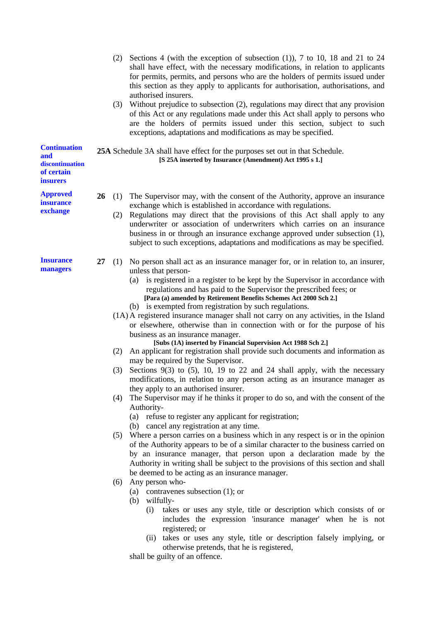|                                               |    | (2)                                                                                                                                     | Sections 4 (with the exception of subsection $(1)$ ), 7 to 10, 18 and 21 to 24<br>shall have effect, with the necessary modifications, in relation to applicants<br>for permits, permits, and persons who are the holders of permits issued under<br>this section as they apply to applicants for authorisation, authorisations, and<br>authorised insurers.<br>(3) Without prejudice to subsection (2), regulations may direct that any provision<br>of this Act or any regulations made under this Act shall apply to persons who<br>are the holders of permits issued under this section, subject to such<br>exceptions, adaptations and modifications as may be specified.                                                                                                                                                                                                                                                                                                                                                                                                                                                                                                                                                                                                                                                                                                                                                                                                                                                                                                                                                                                                                                                                                                                                                                                                                                                                                           |  |  |  |
|-----------------------------------------------|----|-----------------------------------------------------------------------------------------------------------------------------------------|--------------------------------------------------------------------------------------------------------------------------------------------------------------------------------------------------------------------------------------------------------------------------------------------------------------------------------------------------------------------------------------------------------------------------------------------------------------------------------------------------------------------------------------------------------------------------------------------------------------------------------------------------------------------------------------------------------------------------------------------------------------------------------------------------------------------------------------------------------------------------------------------------------------------------------------------------------------------------------------------------------------------------------------------------------------------------------------------------------------------------------------------------------------------------------------------------------------------------------------------------------------------------------------------------------------------------------------------------------------------------------------------------------------------------------------------------------------------------------------------------------------------------------------------------------------------------------------------------------------------------------------------------------------------------------------------------------------------------------------------------------------------------------------------------------------------------------------------------------------------------------------------------------------------------------------------------------------------------|--|--|--|
| <b>Continuation</b><br>and<br>discontinuation |    | 25A Schedule 3A shall have effect for the purposes set out in that Schedule.<br>[S 25A inserted by Insurance (Amendment) Act 1995 s 1.] |                                                                                                                                                                                                                                                                                                                                                                                                                                                                                                                                                                                                                                                                                                                                                                                                                                                                                                                                                                                                                                                                                                                                                                                                                                                                                                                                                                                                                                                                                                                                                                                                                                                                                                                                                                                                                                                                                                                                                                          |  |  |  |
| of certain<br><i>insurers</i>                 |    |                                                                                                                                         |                                                                                                                                                                                                                                                                                                                                                                                                                                                                                                                                                                                                                                                                                                                                                                                                                                                                                                                                                                                                                                                                                                                                                                                                                                                                                                                                                                                                                                                                                                                                                                                                                                                                                                                                                                                                                                                                                                                                                                          |  |  |  |
| <b>Approved</b><br>insurance<br>exchange      | 26 | (1)<br>(2)                                                                                                                              | The Supervisor may, with the consent of the Authority, approve an insurance<br>exchange which is established in accordance with regulations.<br>Regulations may direct that the provisions of this Act shall apply to any<br>underwriter or association of underwriters which carries on an insurance<br>business in or through an insurance exchange approved under subsection (1),<br>subject to such exceptions, adaptations and modifications as may be specified.                                                                                                                                                                                                                                                                                                                                                                                                                                                                                                                                                                                                                                                                                                                                                                                                                                                                                                                                                                                                                                                                                                                                                                                                                                                                                                                                                                                                                                                                                                   |  |  |  |
| <b>Insurance</b><br>managers                  | 27 | (1)<br>(2)<br>(3)<br>(4)<br>(5)<br>(6)                                                                                                  | No person shall act as an insurance manager for, or in relation to, an insurer,<br>unless that person-<br>is registered in a register to be kept by the Supervisor in accordance with<br>(a)<br>regulations and has paid to the Supervisor the prescribed fees; or<br>[Para (a) amended by Retirement Benefits Schemes Act 2000 Sch 2.]<br>(b) is exempted from registration by such regulations.<br>(1A) A registered insurance manager shall not carry on any activities, in the Island<br>or elsewhere, otherwise than in connection with or for the purpose of his<br>business as an insurance manager.<br>[Subs (1A) inserted by Financial Supervision Act 1988 Sch 2.]<br>An applicant for registration shall provide such documents and information as<br>may be required by the Supervisor.<br>Sections 9(3) to (5), 10, 19 to 22 and 24 shall apply, with the necessary<br>modifications, in relation to any person acting as an insurance manager as<br>they apply to an authorised insurer.<br>The Supervisor may if he thinks it proper to do so, and with the consent of the<br>Authority-<br>(a) refuse to register any applicant for registration;<br>(b) cancel any registration at any time.<br>Where a person carries on a business which in any respect is or in the opinion<br>of the Authority appears to be of a similar character to the business carried on<br>by an insurance manager, that person upon a declaration made by the<br>Authority in writing shall be subject to the provisions of this section and shall<br>be deemed to be acting as an insurance manager.<br>Any person who-<br>(a) contravenes subsection $(1)$ ; or<br>wilfully-<br>(b)<br>takes or uses any style, title or description which consists of or<br>(i)<br>includes the expression 'insurance manager' when he is not<br>registered; or<br>(ii) takes or uses any style, title or description falsely implying, or<br>otherwise pretends, that he is registered, |  |  |  |

shall be guilty of an offence.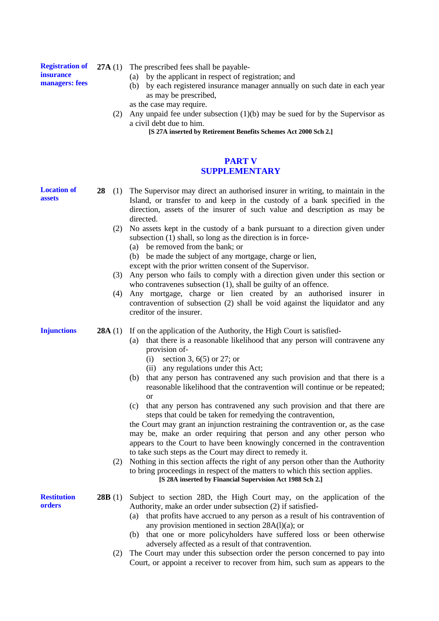#### **Registration of insurance managers: fees**

- **27A** (1) The prescribed fees shall be payable-
	- (a) by the applicant in respect of registration; and
	- (b) by each registered insurance manager annually on such date in each year as may be prescribed,
	- as the case may require.
	- (2) Any unpaid fee under subsection (1)(b) may be sued for by the Supervisor as a civil debt due to him.

**[S 27A inserted by Retirement Benefits Schemes Act 2000 Sch 2.]**

# **PART V SUPPLEMENTARY**

**28** (1) The Supervisor may direct an authorised insurer in writing, to maintain in the

**Injunctions Restitution orders** Island, or transfer to and keep in the custody of a bank specified in the direction, assets of the insurer of such value and description as may be directed. (2) No assets kept in the custody of a bank pursuant to a direction given under subsection  $(1)$  shall, so long as the direction is in force-(a) be removed from the bank; or (b) be made the subject of any mortgage, charge or lien, except with the prior written consent of the Supervisor. (3) Any person who fails to comply with a direction given under this section or who contravenes subsection (1), shall be guilty of an offence. (4) Any mortgage, charge or lien created by an authorised insurer in contravention of subsection (2) shall be void against the liquidator and any creditor of the insurer. **28A** (1) If on the application of the Authority, the High Court is satisfied-(a) that there is a reasonable likelihood that any person will contravene any provision of- (i) section 3, 6(5) or 27; or (ii) any regulations under this Act; (b) that any person has contravened any such provision and that there is a reasonable likelihood that the contravention will continue or be repeated; or (c) that any person has contravened any such provision and that there are steps that could be taken for remedying the contravention, the Court may grant an injunction restraining the contravention or, as the case may be, make an order requiring that person and any other person who appears to the Court to have been knowingly concerned in the contravention to take such steps as the Court may direct to remedy it. (2) Nothing in this section affects the right of any person other than the Authority to bring proceedings in respect of the matters to which this section applies. **[S 28A inserted by Financial Supervision Act 1988 Sch 2.] 28B** (1) Subject to section 28D, the High Court may, on the application of the Authority, make an order under subsection (2) if satisfied- (a) that profits have accrued to any person as a result of his contravention of any provision mentioned in section 28A(l)(a); or (b) that one or more policyholders have suffered loss or been otherwise adversely affected as a result of that contravention.

> (2) The Court may under this subsection order the person concerned to pay into Court, or appoint a receiver to recover from him, such sum as appears to the

**Location of assets**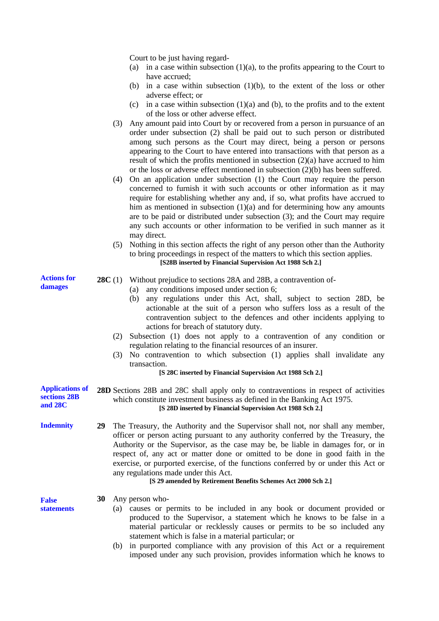Court to be just having regard-

- (a) in a case within subsection  $(1)(a)$ , to the profits appearing to the Court to have accrued;
- (b) in a case within subsection (1)(b), to the extent of the loss or other adverse effect; or
- (c) in a case within subsection  $(1)(a)$  and  $(b)$ , to the profits and to the extent of the loss or other adverse effect.
- (3) Any amount paid into Court by or recovered from a person in pursuance of an order under subsection (2) shall be paid out to such person or distributed among such persons as the Court may direct, being a person or persons appearing to the Court to have entered into transactions with that person as a result of which the profits mentioned in subsection (2)(a) have accrued to him or the loss or adverse effect mentioned in subsection (2)(b) has been suffered.
- (4) On an application under subsection (1) the Court may require the person concerned to furnish it with such accounts or other information as it may require for establishing whether any and, if so, what profits have accrued to him as mentioned in subsection  $(1)(a)$  and for determining how any amounts are to be paid or distributed under subsection (3); and the Court may require any such accounts or other information to be verified in such manner as it may direct.
- (5) Nothing in this section affects the right of any person other than the Authority to bring proceedings in respect of the matters to which this section applies. **[S28B inserted by Financial Supervision Act 1988 Sch 2.]**
- **28C** (1) Without prejudice to sections 28A and 28B, a contravention of-
	- (a) any conditions imposed under section 6;
	- (b) any regulations under this Act, shall, subject to section 28D, be actionable at the suit of a person who suffers loss as a result of the contravention subject to the defences and other incidents applying to actions for breach of statutory duty.
	- (2) Subsection (1) does not apply to a contravention of any condition or regulation relating to the financial resources of an insurer.
	- (3) No contravention to which subsection (1) applies shall invalidate any transaction.

#### **[S 28C inserted by Financial Supervision Act 1988 Sch 2.]**

**Applications of sections 28B and 28C 28D** Sections 28B and 28C shall apply only to contraventions in respect of activities which constitute investment business as defined in the Banking Act 1975. **[S 28D inserted by Financial Supervision Act 1988 Sch 2.]**

**Indemnity 29** The Treasury, the Authority and the Supervisor shall not, nor shall any member, officer or person acting pursuant to any authority conferred by the Treasury, the Authority or the Supervisor, as the case may be, be liable in damages for, or in respect of, any act or matter done or omitted to be done in good faith in the exercise, or purported exercise, of the functions conferred by or under this Act or any regulations made under this Act.

### **[S 29 amended by Retirement Benefits Schemes Act 2000 Sch 2.]**

**30** Any person who-

**False statements**

- (a) causes or permits to be included in any book or document provided or produced to the Supervisor, a statement which he knows to be false in a material particular or recklessly causes or permits to be so included any statement which is false in a material particular; or
	- (b) in purported compliance with any provision of this Act or a requirement imposed under any such provision, provides information which he knows to

**Actions for damages**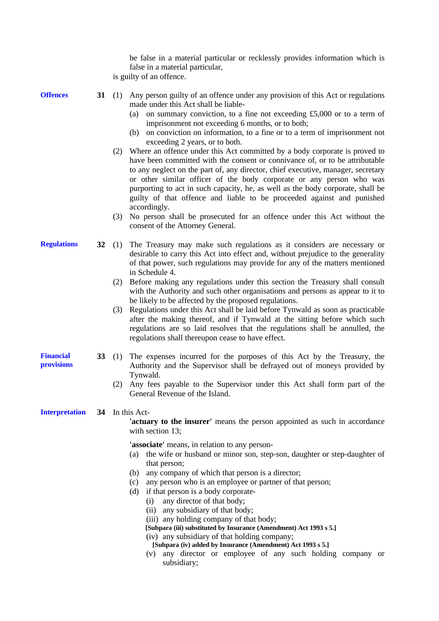be false in a material particular or recklessly provides information which is false in a material particular, is guilty of an offence.

**Offences**

- **31** (1) Any person guilty of an offence under any provision of this Act or regulations made under this Act shall be liable-
	- (a) on summary conviction, to a fine not exceeding £5,000 or to a term of imprisonment not exceeding 6 months, or to both;
	- (b) on conviction on information, to a fine or to a term of imprisonment not exceeding 2 years, or to both.
	- (2) Where an offence under this Act committed by a body corporate is proved to have been committed with the consent or connivance of, or to be attributable to any neglect on the part of, any director, chief executive, manager, secretary or other similar officer of the body corporate or any person who was purporting to act in such capacity, he, as well as the body corporate, shall be guilty of that offence and liable to be proceeded against and punished accordingly.
	- (3) No person shall be prosecuted for an offence under this Act without the consent of the Attorney General.
- **32** (1) The Treasury may make such regulations as it considers are necessary or desirable to carry this Act into effect and, without prejudice to the generality of that power, such regulations may provide for any of the matters mentioned in Schedule 4.
	- (2) Before making any regulations under this section the Treasury shall consult with the Authority and such other organisations and persons as appear to it to be likely to be affected by the proposed regulations.
	- (3) Regulations under this Act shall be laid before Tynwald as soon as practicable after the making thereof, and if Tynwald at the sitting before which such regulations are so laid resolves that the regulations shall be annulled, the regulations shall thereupon cease to have effect.
	- **33** (1) The expenses incurred for the purposes of this Act by the Treasury, the Authority and the Supervisor shall be defrayed out of moneys provided by Tynwald.
		- (2) Any fees payable to the Supervisor under this Act shall form part of the General Revenue of the Island.

#### **Interpretation 34** In this Act-

**'actuary to the insurer'** means the person appointed as such in accordance with section 13:

**'associate'** means, in relation to any person-

- (a) the wife or husband or minor son, step-son, daughter or step-daughter of that person;
- (b) any company of which that person is a director;
- (c) any person who is an employee or partner of that person;
- (d) if that person is a body corporate-
	- (i) any director of that body;
	- (ii) any subsidiary of that body;
	- (iii) any holding company of that body;
	- **[Subpara (iii) substituted by Insurance (Amendment) Act 1993 s 5.]**
	- (iv) any subsidiary of that holding company;
		- **[Subpara (iv) added by Insurance (Amendment) Act 1993 s 5.]**
	- (v) any director or employee of any such holding company or subsidiary;

**Regulations**

**Financial provisions**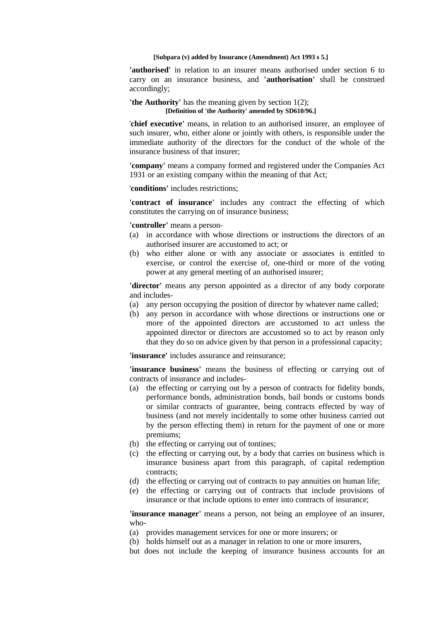#### **[Subpara (v) added by Insurance (Amendment) Act 1993 s 5.]**

**'authorised'** in relation to an insurer means authorised under section 6 to carry on an insurance business, and **'authorisation'** shall be construed accordingly;

**'the Authority'** has the meaning given by section 1(2); **[Definition of 'the Authority' amended by SD610/96.]**

'**chief executive'** means, in relation to an authorised insurer, an employee of such insurer, who, either alone or jointly with others, is responsible under the immediate authority of the directors for the conduct of the whole of the insurance business of that insurer;

**'company'** means a company formed and registered under the Companies Act 1931 or an existing company within the meaning of that Act;

'**conditions'** includes restrictions;

**'contract of insurance'** includes any contract the effecting of which constitutes the carrying on of insurance business;

**'controller'** means a person-

- (a) in accordance with whose directions or instructions the directors of an authorised insurer are accustomed to act; or
- (b) who either alone or with any associate or associates is entitled to exercise, or control the exercise of, one-third or more of the voting power at any general meeting of an authorised insurer;

'director' means any person appointed as a director of any body corporate and includes-

- (a) any person occupying the position of director by whatever name called;
- (b) any person in accordance with whose directions or instructions one or more of the appointed directors are accustomed to act unless the appointed director or directors are accustomed so to act by reason only that they do so on advice given by that person in a professional capacity;

**'insurance'** includes assurance and reinsurance;

**'insurance business'** means the business of effecting or carrying out of contracts of insurance and includes-

- (a) the effecting or carrying out by a person of contracts for fidelity bonds, performance bonds, administration bonds, bail bonds or customs bonds or similar contracts of guarantee, being contracts effected by way of business (and not merely incidentally to some other business carried out by the person effecting them) in return for the payment of one or more premiums;
- (b) the effecting or carrying out of tontines;
- (c) the effecting or carrying out, by a body that carries on business which is insurance business apart from this paragraph, of capital redemption contracts;
- (d) the effecting or carrying out of contracts to pay annuities on human life;
- (e) the effecting or carrying out of contracts that include provisions of insurance or that include options to enter into contracts of insurance;

**'insurance manager'** means a person, not being an employee of an insurer, who-

- (a) provides management services for one or more insurers; or
- (b) holds himself out as a manager in relation to one or more insurers,
- but does not include the keeping of insurance business accounts for an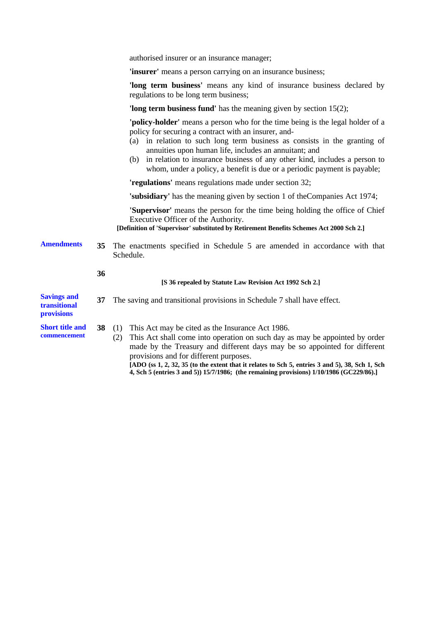| authorised insurer or an insurance manager; |  |  |
|---------------------------------------------|--|--|
|                                             |  |  |

**'insurer'** means a person carrying on an insurance business;

'long term business' means any kind of insurance business declared by regulations to be long term business;

**'long term business fund'** has the meaning given by section 15(2);

**'policy-holder'** means a person who for the time being is the legal holder of a policy for securing a contract with an insurer, and-

- (a) in relation to such long term business as consists in the granting of annuities upon human life, includes an annuitant; and
- (b) in relation to insurance business of any other kind, includes a person to whom, under a policy, a benefit is due or a periodic payment is payable;

**'regulations'** means regulations made under section 32;

**'subsidiary'** has the meaning given by section 1 of theCompanies Act 1974;

**'Supervisor'** means the person for the time being holding the office of Chief Executive Officer of the Authority.

**[Definition of 'Supervisor' substituted by Retirement Benefits Schemes Act 2000 Sch 2.]**

**Amendments 35** The enactments specified in Schedule 5 are amended in accordance with that Schedule.

#### **[S 36 repealed by Statute Law Revision Act 1992 Sch 2.]**

| <b>Savings and</b><br>transitional<br><b>provisions</b> | 37 | The saving and transitional provisions in Schedule 7 shall have effect.                                                                                                                                                                                            |
|---------------------------------------------------------|----|--------------------------------------------------------------------------------------------------------------------------------------------------------------------------------------------------------------------------------------------------------------------|
| <b>Short title and</b><br>commencement                  |    | This Act may be cited as the Insurance Act 1986.<br>38 $(1)$<br>This Act shall come into operation on such day as may be appointed by order<br>made by the Treasury and different days may be so appointed for different<br>provisions and for different purposes. |

**36**

**[ADO (ss 1, 2, 32, 35 (to the extent that it relates to Sch 5, entries 3 and 5), 38, Sch 1, Sch 4, Sch 5 (entries 3 and 5)) 15/7/1986; (the remaining provisions) 1/10/1986 (GC229/86).]**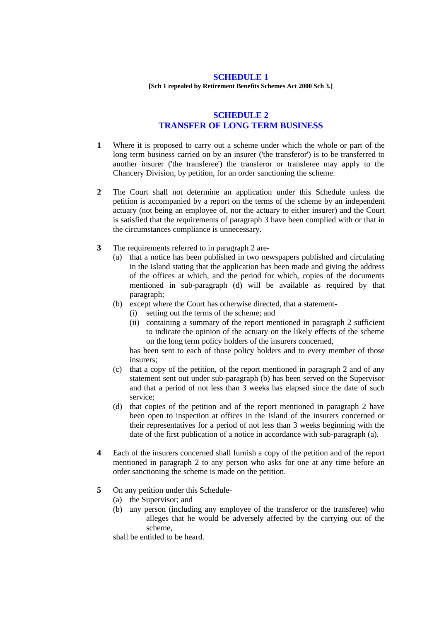#### **SCHEDULE 1**

**[Sch 1 repealed by Retirement Benefits Schemes Act 2000 Sch 3.]**

# **SCHEDULE 2 TRANSFER OF LONG TERM BUSINESS**

- **1** Where it is proposed to carry out a scheme under which the whole or part of the long term business carried on by an insurer ('the transferor') is to be transferred to another insurer ('the transferee') the transferor or transferee may apply to the Chancery Division, by petition, for an order sanctioning the scheme.
- **2** The Court shall not determine an application under this Schedule unless the petition is accompanied by a report on the terms of the scheme by an independent actuary (not being an employee of, nor the actuary to either insurer) and the Court is satisfied that the requirements of paragraph 3 have been complied with or that in the circumstances compliance is unnecessary.
- **3** The requirements referred to in paragraph 2 are-
	- (a) that a notice has been published in two newspapers published and circulating in the Island stating that the application has been made and giving the address of the offices at which, and the period for which, copies of the documents mentioned in sub-paragraph (d) will be available as required by that paragraph;
	- (b) except where the Court has otherwise directed, that a statement-
		- (i) setting out the terms of the scheme; and
		- (ii) containing a summary of the report mentioned in paragraph 2 sufficient to indicate the opinion of the actuary on the likely effects of the scheme on the long term policy holders of the insurers concerned,

has been sent to each of those policy holders and to every member of those insurers;

- (c) that a copy of the petition, of the report mentioned in paragraph 2 and of any statement sent out under sub-paragraph (b) has been served on the Supervisor and that a period of not less than 3 weeks has elapsed since the date of such service;
- (d) that copies of the petition and of the report mentioned in paragraph 2 have been open to inspection at offices in the Island of the insurers concerned or their representatives for a period of not less than 3 weeks beginning with the date of the first publication of a notice in accordance with sub-paragraph (a).
- **4** Each of the insurers concerned shall furnish a copy of the petition and of the report mentioned in paragraph 2 to any person who asks for one at any time before an order sanctioning the scheme is made on the petition.
- **5** On any petition under this Schedule-
	- (a) the Supervisor; and
	- (b) any person (including any employee of the transferor or the transferee) who alleges that he would be adversely affected by the carrying out of the scheme,

shall be entitled to be heard.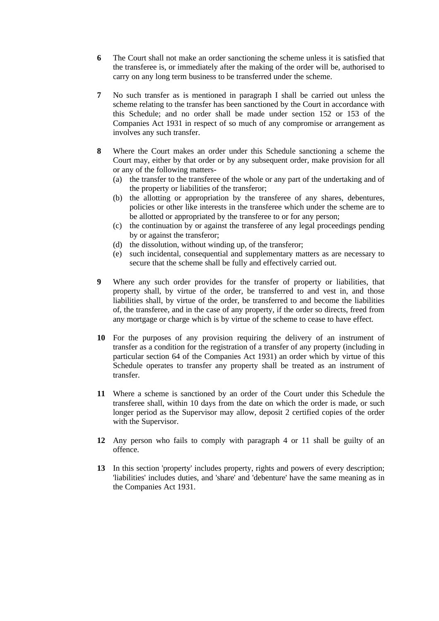- **6** The Court shall not make an order sanctioning the scheme unless it is satisfied that the transferee is, or immediately after the making of the order will be, authorised to carry on any long term business to be transferred under the scheme.
- **7** No such transfer as is mentioned in paragraph I shall be carried out unless the scheme relating to the transfer has been sanctioned by the Court in accordance with this Schedule; and no order shall be made under section 152 or 153 of the Companies Act 1931 in respect of so much of any compromise or arrangement as involves any such transfer.
- **8** Where the Court makes an order under this Schedule sanctioning a scheme the Court may, either by that order or by any subsequent order, make provision for all or any of the following matters-
	- (a) the transfer to the transferee of the whole or any part of the undertaking and of the property or liabilities of the transferor;
	- (b) the allotting or appropriation by the transferee of any shares, debentures, policies or other like interests in the transferee which under the scheme are to be allotted or appropriated by the transferee to or for any person:
	- (c) the continuation by or against the transferee of any legal proceedings pending by or against the transferor;
	- (d) the dissolution, without winding up, of the transferor;
	- (e) such incidental, consequential and supplementary matters as are necessary to secure that the scheme shall be fully and effectively carried out.
- **9** Where any such order provides for the transfer of property or liabilities, that property shall, by virtue of the order, be transferred to and vest in, and those liabilities shall, by virtue of the order, be transferred to and become the liabilities of, the transferee, and in the case of any property, if the order so directs, freed from any mortgage or charge which is by virtue of the scheme to cease to have effect.
- **10** For the purposes of any provision requiring the delivery of an instrument of transfer as a condition for the registration of a transfer of any property (including in particular section 64 of the Companies Act 1931) an order which by virtue of this Schedule operates to transfer any property shall be treated as an instrument of transfer.
- **11** Where a scheme is sanctioned by an order of the Court under this Schedule the transferee shall, within 10 days from the date on which the order is made, or such longer period as the Supervisor may allow, deposit 2 certified copies of the order with the Supervisor.
- **12** Any person who fails to comply with paragraph 4 or 11 shall be guilty of an offence.
- **13** In this section 'property' includes property, rights and powers of every description; 'liabilities' includes duties, and 'share' and 'debenture' have the same meaning as in the Companies Act 1931.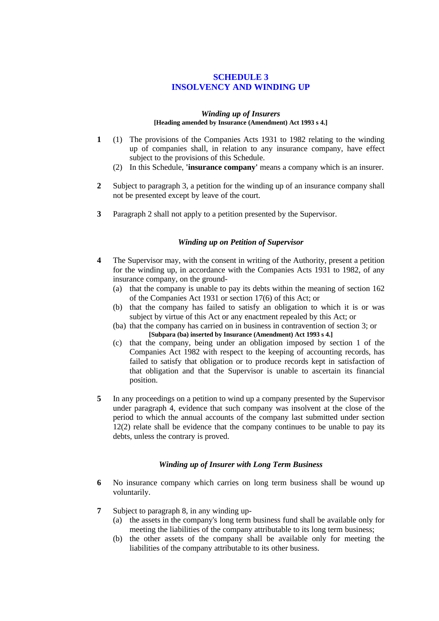# **SCHEDULE 3 INSOLVENCY AND WINDING UP**

#### *Winding up of Insurers* **[Heading amended by Insurance (Amendment) Act 1993 s 4.]**

- **1** (1) The provisions of the Companies Acts 1931 to 1982 relating to the winding up of companies shall, in relation to any insurance company, have effect subject to the provisions of this Schedule.
	- (2) In this Schedule, **'insurance company'** means a company which is an insurer.
- **2** Subject to paragraph 3, a petition for the winding up of an insurance company shall not be presented except by leave of the court.
- **3** Paragraph 2 shall not apply to a petition presented by the Supervisor.

# *Winding up on Petition of Supervisor*

- **4** The Supervisor may, with the consent in writing of the Authority, present a petition for the winding up, in accordance with the Companies Acts 1931 to 1982, of any insurance company, on the ground-
	- (a) that the company is unable to pay its debts within the meaning of section 162 of the Companies Act 1931 or section 17(6) of this Act; or
	- (b) that the company has failed to satisfy an obligation to which it is or was subject by virtue of this Act or any enactment repealed by this Act; or
	- (ba) that the company has carried on in business in contravention of section 3; or **[Subpara (ba) inserted by Insurance (Amendment) Act 1993 s 4.]**
	- (c) that the company, being under an obligation imposed by section 1 of the Companies Act 1982 with respect to the keeping of accounting records, has failed to satisfy that obligation or to produce records kept in satisfaction of that obligation and that the Supervisor is unable to ascertain its financial position.
- **5** In any proceedings on a petition to wind up a company presented by the Supervisor under paragraph 4, evidence that such company was insolvent at the close of the period to which the annual accounts of the company last submitted under section 12(2) relate shall be evidence that the company continues to be unable to pay its debts, unless the contrary is proved.

# *Winding up of Insurer with Long Term Business*

- **6** No insurance company which carries on long term business shall be wound up voluntarily.
- **7** Subject to paragraph 8, in any winding up-
	- (a) the assets in the company's long term business fund shall be available only for meeting the liabilities of the company attributable to its long term business;
	- (b) the other assets of the company shall be available only for meeting the liabilities of the company attributable to its other business.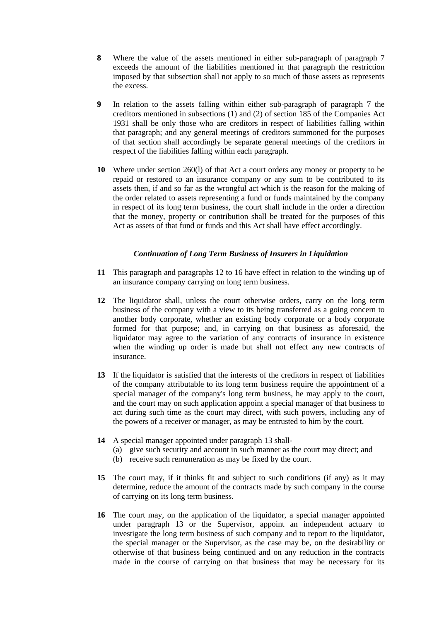- **8** Where the value of the assets mentioned in either sub-paragraph of paragraph 7 exceeds the amount of the liabilities mentioned in that paragraph the restriction imposed by that subsection shall not apply to so much of those assets as represents the excess.
- **9** In relation to the assets falling within either sub-paragraph of paragraph 7 the creditors mentioned in subsections (1) and (2) of section 185 of the Companies Act 1931 shall be only those who are creditors in respect of liabilities falling within that paragraph; and any general meetings of creditors summoned for the purposes of that section shall accordingly be separate general meetings of the creditors in respect of the liabilities falling within each paragraph.
- **10** Where under section 260(l) of that Act a court orders any money or property to be repaid or restored to an insurance company or any sum to be contributed to its assets then, if and so far as the wrongful act which is the reason for the making of the order related to assets representing a fund or funds maintained by the company in respect of its long term business, the court shall include in the order a direction that the money, property or contribution shall be treated for the purposes of this Act as assets of that fund or funds and this Act shall have effect accordingly.

# *Continuation of Long Term Business of Insurers in Liquidation*

- **11** This paragraph and paragraphs 12 to 16 have effect in relation to the winding up of an insurance company carrying on long term business.
- **12** The liquidator shall, unless the court otherwise orders, carry on the long term business of the company with a view to its being transferred as a going concern to another body corporate, whether an existing body corporate or a body corporate formed for that purpose; and, in carrying on that business as aforesaid, the liquidator may agree to the variation of any contracts of insurance in existence when the winding up order is made but shall not effect any new contracts of insurance.
- **13** If the liquidator is satisfied that the interests of the creditors in respect of liabilities of the company attributable to its long term business require the appointment of a special manager of the company's long term business, he may apply to the court, and the court may on such application appoint a special manager of that business to act during such time as the court may direct, with such powers, including any of the powers of a receiver or manager, as may be entrusted to him by the court.
- **14** A special manager appointed under paragraph 13 shall-
	- (a) give such security and account in such manner as the court may direct; and
	- (b) receive such remuneration as may be fixed by the court.
- **15** The court may, if it thinks fit and subject to such conditions (if any) as it may determine, reduce the amount of the contracts made by such company in the course of carrying on its long term business.
- **16** The court may, on the application of the liquidator, a special manager appointed under paragraph 13 or the Supervisor, appoint an independent actuary to investigate the long term business of such company and to report to the liquidator, the special manager or the Supervisor, as the case may be, on the desirability or otherwise of that business being continued and on any reduction in the contracts made in the course of carrying on that business that may be necessary for its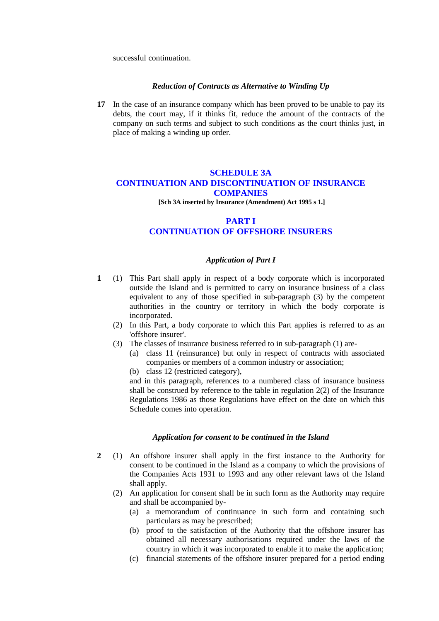successful continuation.

# *Reduction of Contracts as Alternative to Winding Up*

**17** In the case of an insurance company which has been proved to be unable to pay its debts, the court may, if it thinks fit, reduce the amount of the contracts of the company on such terms and subject to such conditions as the court thinks just, in place of making a winding up order.

# **SCHEDULE 3A CONTINUATION AND DISCONTINUATION OF INSURANCE COMPANIES**

 **[Sch 3A inserted by Insurance (Amendment) Act 1995 s 1.]**

# **PART I CONTINUATION OF OFFSHORE INSURERS**

# *Application of Part I*

- **1** (1) This Part shall apply in respect of a body corporate which is incorporated outside the Island and is permitted to carry on insurance business of a class equivalent to any of those specified in sub-paragraph (3) by the competent authorities in the country or territory in which the body corporate is incorporated.
	- (2) In this Part, a body corporate to which this Part applies is referred to as an 'offshore insurer'.
	- (3) The classes of insurance business referred to in sub-paragraph (1) are-
		- (a) class 11 (reinsurance) but only in respect of contracts with associated companies or members of a common industry or association;
		- (b) class 12 (restricted category),

and in this paragraph, references to a numbered class of insurance business shall be construed by reference to the table in regulation 2(2) of the Insurance Regulations 1986 as those Regulations have effect on the date on which this Schedule comes into operation.

## *Application for consent to be continued in the Island*

- **2** (1) An offshore insurer shall apply in the first instance to the Authority for consent to be continued in the Island as a company to which the provisions of the Companies Acts 1931 to 1993 and any other relevant laws of the Island shall apply.
	- (2) An application for consent shall be in such form as the Authority may require and shall be accompanied by-
		- (a) a memorandum of continuance in such form and containing such particulars as may be prescribed;
		- (b) proof to the satisfaction of the Authority that the offshore insurer has obtained all necessary authorisations required under the laws of the country in which it was incorporated to enable it to make the application;
		- (c) financial statements of the offshore insurer prepared for a period ending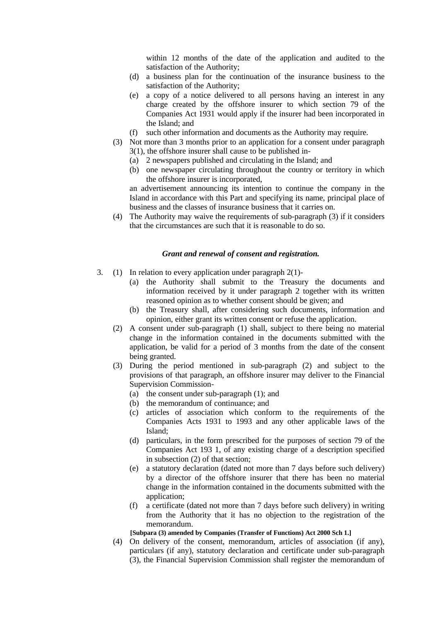within 12 months of the date of the application and audited to the satisfaction of the Authority;

- (d) a business plan for the continuation of the insurance business to the satisfaction of the Authority;
- (e) a copy of a notice delivered to all persons having an interest in any charge created by the offshore insurer to which section 79 of the Companies Act 1931 would apply if the insurer had been incorporated in the Island; and
- (f) such other information and documents as the Authority may require.
- (3) Not more than 3 months prior to an application for a consent under paragraph 3(1), the offshore insurer shall cause to be published in-
	- (a) 2 newspapers published and circulating in the Island; and
	- (b) one newspaper circulating throughout the country or territory in which the offshore insurer is incorporated,

an advertisement announcing its intention to continue the company in the Island in accordance with this Part and specifying its name, principal place of business and the classes of insurance business that it carries on.

(4) The Authority may waive the requirements of sub-paragraph (3) if it considers that the circumstances are such that it is reasonable to do so.

# *Grant and renewal of consent and registration.*

- 3. (1) In relation to every application under paragraph 2(1)-
	- (a) the Authority shall submit to the Treasury the documents and information received by it under paragraph 2 together with its written reasoned opinion as to whether consent should be given; and
	- (b) the Treasury shall, after considering such documents, information and opinion, either grant its written consent or refuse the application.
	- (2) A consent under sub-paragraph (1) shall, subject to there being no material change in the information contained in the documents submitted with the application, be valid for a period of 3 months from the date of the consent being granted.
	- (3) During the period mentioned in sub-paragraph (2) and subject to the provisions of that paragraph, an offshore insurer may deliver to the Financial Supervision Commission-
		- (a) the consent under sub-paragraph (1); and
		- (b) the memorandum of continuance; and
		- (c) articles of association which conform to the requirements of the Companies Acts 1931 to 1993 and any other applicable laws of the Island;
		- (d) particulars, in the form prescribed for the purposes of section 79 of the Companies Act 193 1, of any existing charge of a description specified in subsection (2) of that section;
		- (e) a statutory declaration (dated not more than 7 days before such delivery) by a director of the offshore insurer that there has been no material change in the information contained in the documents submitted with the application;
		- (f) a certificate (dated not more than 7 days before such delivery) in writing from the Authority that it has no objection to the registration of the memorandum.

**[Subpara (3) amended by Companies (Transfer of Functions) Act 2000 Sch 1.]**

(4) On delivery of the consent, memorandum, articles of association (if any), particulars (if any), statutory declaration and certificate under sub-paragraph (3), the Financial Supervision Commission shall register the memorandum of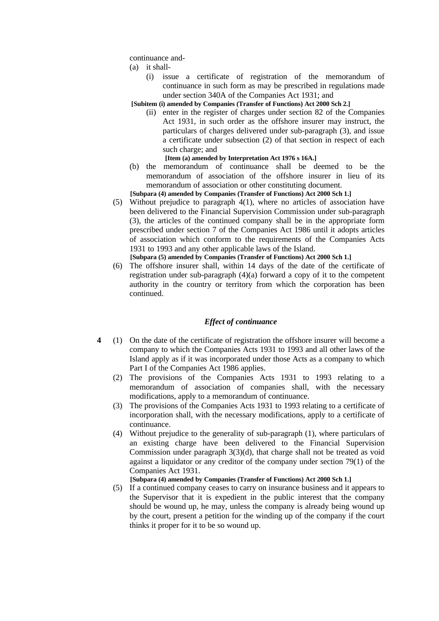continuance and-

- (a) it shall-
	- (i) issue a certificate of registration of the memorandum of continuance in such form as may be prescribed in regulations made under section 340A of the Companies Act 1931; and

**[Subitem (i) amended by Companies (Transfer of Functions) Act 2000 Sch 2.]**

- (ii) enter in the register of charges under section 82 of the Companies Act 1931, in such order as the offshore insurer may instruct, the particulars of charges delivered under sub-paragraph (3), and issue a certificate under subsection (2) of that section in respect of each such charge; and
	- **[Item (a) amended by Interpretation Act 1976 s 16A.]**
- (b) the memorandum of continuance shall be deemed to be the memorandum of association of the offshore insurer in lieu of its memorandum of association or other constituting document.
- **[Subpara (4) amended by Companies (Transfer of Functions) Act 2000 Sch 1.]**
- (5) Without prejudice to paragraph 4(1), where no articles of association have been delivered to the Financial Supervision Commission under sub-paragraph (3), the articles of the continued company shall be in the appropriate form prescribed under section 7 of the Companies Act 1986 until it adopts articles of association which conform to the requirements of the Companies Acts 1931 to 1993 and any other applicable laws of the Island. **[Subpara (5) amended by Companies (Transfer of Functions) Act 2000 Sch 1.]**
- (6) The offshore insurer shall, within 14 days of the date of the certificate of registration under sub-paragraph (4)(a) forward a copy of it to the competent authority in the country or territory from which the corporation has been continued.

# *Effect of continuance*

- **4** (1) On the date of the certificate of registration the offshore insurer will become a company to which the Companies Acts 1931 to 1993 and all other laws of the Island apply as if it was incorporated under those Acts as a company to which Part I of the Companies Act 1986 applies.
	- (2) The provisions of the Companies Acts 1931 to 1993 relating to a memorandum of association of companies shall, with the necessary modifications, apply to a memorandum of continuance.
	- (3) The provisions of the Companies Acts 1931 to 1993 relating to a certificate of incorporation shall, with the necessary modifications, apply to a certificate of continuance.
	- (4) Without prejudice to the generality of sub-paragraph (1), where particulars of an existing charge have been delivered to the Financial Supervision Commission under paragraph 3(3)(d), that charge shall not be treated as void against a liquidator or any creditor of the company under section 79(1) of the Companies Act 1931.

**[Subpara (4) amended by Companies (Transfer of Functions) Act 2000 Sch 1.]**

(5) If a continued company ceases to carry on insurance business and it appears to the Supervisor that it is expedient in the public interest that the company should be wound up, he may, unless the company is already being wound up by the court, present a petition for the winding up of the company if the court thinks it proper for it to be so wound up.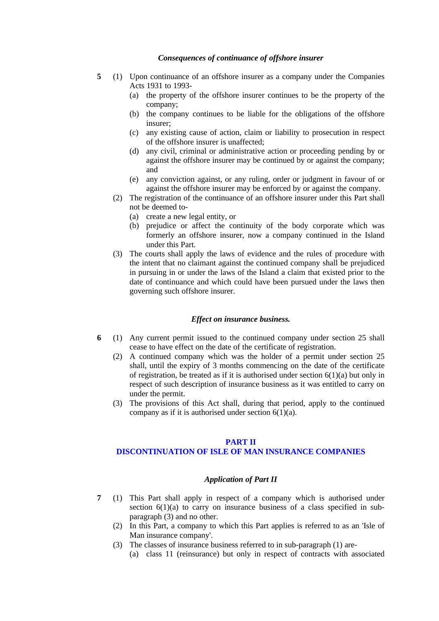# *Consequences of continuance of offshore insurer*

- **5** (1) Upon continuance of an offshore insurer as a company under the Companies Acts 1931 to 1993-
	- (a) the property of the offshore insurer continues to be the property of the company;
	- (b) the company continues to be liable for the obligations of the offshore insurer;
	- (c) any existing cause of action, claim or liability to prosecution in respect of the offshore insurer is unaffected;
	- (d) any civil, criminal or administrative action or proceeding pending by or against the offshore insurer may be continued by or against the company; and
	- (e) any conviction against, or any ruling, order or judgment in favour of or against the offshore insurer may be enforced by or against the company.
	- (2) The registration of the continuance of an offshore insurer under this Part shall not be deemed to-
		- (a) create a new legal entity, or
		- (b) prejudice or affect the continuity of the body corporate which was formerly an offshore insurer, now a company continued in the Island under this Part.
	- (3) The courts shall apply the laws of evidence and the rules of procedure with the intent that no claimant against the continued company shall be prejudiced in pursuing in or under the laws of the Island a claim that existed prior to the date of continuance and which could have been pursued under the laws then governing such offshore insurer.

# *Effect on insurance business.*

- **6** (1) Any current permit issued to the continued company under section 25 shall cease to have effect on the date of the certificate of registration.
	- (2) A continued company which was the holder of a permit under section 25 shall, until the expiry of 3 months commencing on the date of the certificate of registration, be treated as if it is authorised under section  $6(1)(a)$  but only in respect of such description of insurance business as it was entitled to carry on under the permit.
	- (3) The provisions of this Act shall, during that period, apply to the continued company as if it is authorised under section  $6(1)(a)$ .

#### **PART II DISCONTINUATION OF ISLE OF MAN INSURANCE COMPANIES**

#### *Application of Part II*

- **7** (1) This Part shall apply in respect of a company which is authorised under section  $6(1)(a)$  to carry on insurance business of a class specified in subparagraph (3) and no other.
	- (2) In this Part, a company to which this Part applies is referred to as an 'Isle of Man insurance company'.
	- (3) The classes of insurance business referred to in sub-paragraph (1) are-
		- (a) class 11 (reinsurance) but only in respect of contracts with associated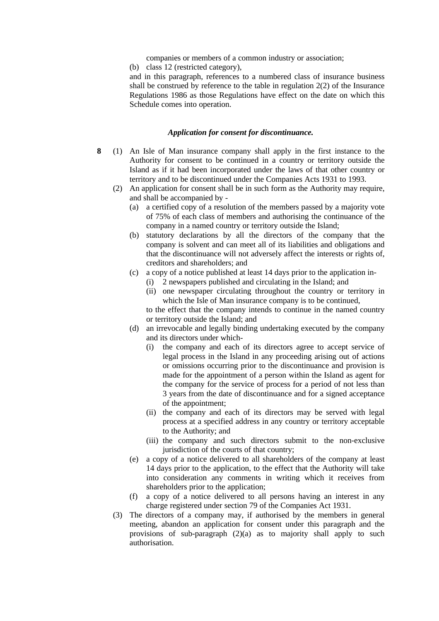companies or members of a common industry or association;

(b) class 12 (restricted category),

and in this paragraph, references to a numbered class of insurance business shall be construed by reference to the table in regulation 2(2) of the Insurance Regulations 1986 as those Regulations have effect on the date on which this Schedule comes into operation.

# *Application for consent for discontinuance.*

- **8** (1) An Isle of Man insurance company shall apply in the first instance to the Authority for consent to be continued in a country or territory outside the Island as if it had been incorporated under the laws of that other country or territory and to be discontinued under the Companies Acts 1931 to 1993.
	- (2) An application for consent shall be in such form as the Authority may require, and shall be accompanied by -
		- (a) a certified copy of a resolution of the members passed by a majority vote of 75% of each class of members and authorising the continuance of the company in a named country or territory outside the Island;
		- (b) statutory declarations by all the directors of the company that the company is solvent and can meet all of its liabilities and obligations and that the discontinuance will not adversely affect the interests or rights of, creditors and shareholders; and
		- (c) a copy of a notice published at least 14 days prior to the application in-
			- (i) 2 newspapers published and circulating in the Island; and
			- (ii) one newspaper circulating throughout the country or territory in which the Isle of Man insurance company is to be continued,

to the effect that the company intends to continue in the named country or territory outside the Island; and

- (d) an irrevocable and legally binding undertaking executed by the company and its directors under which-
	- (i) the company and each of its directors agree to accept service of legal process in the Island in any proceeding arising out of actions or omissions occurring prior to the discontinuance and provision is made for the appointment of a person within the Island as agent for the company for the service of process for a period of not less than 3 years from the date of discontinuance and for a signed acceptance of the appointment;
	- (ii) the company and each of its directors may be served with legal process at a specified address in any country or territory acceptable to the Authority; and
	- (iii) the company and such directors submit to the non-exclusive jurisdiction of the courts of that country;
- (e) a copy of a notice delivered to all shareholders of the company at least 14 days prior to the application, to the effect that the Authority will take into consideration any comments in writing which it receives from shareholders prior to the application;
- (f) a copy of a notice delivered to all persons having an interest in any charge registered under section 79 of the Companies Act 1931.
- (3) The directors of a company may, if authorised by the members in general meeting, abandon an application for consent under this paragraph and the provisions of sub-paragraph (2)(a) as to majority shall apply to such authorisation.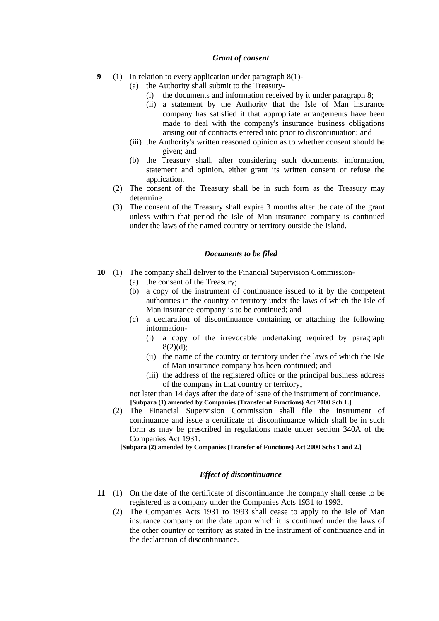# *Grant of consent*

- **9** (1) In relation to every application under paragraph 8(1)-
	- (a) the Authority shall submit to the Treasury-
		- (i) the documents and information received by it under paragraph 8;
		- (ii) a statement by the Authority that the Isle of Man insurance company has satisfied it that appropriate arrangements have been made to deal with the company's insurance business obligations arising out of contracts entered into prior to discontinuation; and
	- (iii) the Authority's written reasoned opinion as to whether consent should be given; and
	- (b) the Treasury shall, after considering such documents, information, statement and opinion, either grant its written consent or refuse the application.
	- (2) The consent of the Treasury shall be in such form as the Treasury may determine.
	- (3) The consent of the Treasury shall expire 3 months after the date of the grant unless within that period the Isle of Man insurance company is continued under the laws of the named country or territory outside the Island.

#### *Documents to be filed*

- **10** (1) The company shall deliver to the Financial Supervision Commission-
	- (a) the consent of the Treasury;
	- (b) a copy of the instrument of continuance issued to it by the competent authorities in the country or territory under the laws of which the Isle of Man insurance company is to be continued; and
	- (c) a declaration of discontinuance containing or attaching the following information-
		- (i) a copy of the irrevocable undertaking required by paragraph  $8(2)(d)$ ;
		- (ii) the name of the country or territory under the laws of which the Isle of Man insurance company has been continued; and
		- (iii) the address of the registered office or the principal business address of the company in that country or territory,

not later than 14 days after the date of issue of the instrument of continuance. **[Subpara (1) amended by Companies (Transfer of Functions) Act 2000 Sch 1.]**

(2) The Financial Supervision Commission shall file the instrument of continuance and issue a certificate of discontinuance which shall be in such form as may be prescribed in regulations made under section 340A of the Companies Act 1931.

**[Subpara (2) amended by Companies (Transfer of Functions) Act 2000 Schs 1 and 2.]**

# *Effect of discontinuance*

- **11** (1) On the date of the certificate of discontinuance the company shall cease to be registered as a company under the Companies Acts 1931 to 1993.
	- (2) The Companies Acts 1931 to 1993 shall cease to apply to the Isle of Man insurance company on the date upon which it is continued under the laws of the other country or territory as stated in the instrument of continuance and in the declaration of discontinuance.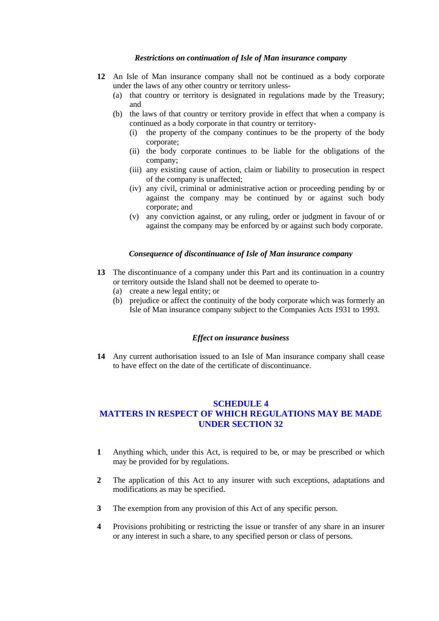# *Restrictions on continuation of Isle of Man insurance company*

- **12** An Isle of Man insurance company shall not be continued as a body corporate under the laws of any other country or territory unless-
	- (a) that country or territory is designated in regulations made by the Treasury; and
	- (b) the laws of that country or territory provide in effect that when a company is continued as a body corporate in that country or territory-
		- (i) the property of the company continues to be the property of the body corporate;
		- (ii) the body corporate continues to be liable for the obligations of the company;
		- (iii) any existing cause of action, claim or liability to prosecution in respect of the company is unaffected;
		- (iv) any civil, criminal or administrative action or proceeding pending by or against the company may be continued by or against such body corporate; and
		- (v) any conviction against, or any ruling, order or judgment in favour of or against the company may be enforced by or against such body corporate.

# *Consequence of discontinuance of Isle of Man insurance company*

- **13** The discontinuance of a company under this Part and its continuation in a country or territory outside the Island shall not be deemed to operate to-
	- (a) create a new legal entity; or
	- (b) prejudice or affect the continuity of the body corporate which was formerly an Isle of Man insurance company subject to the Companies Acts 1931 to 1993.

## *Effect on insurance business*

**14** Any current authorisation issued to an Isle of Man insurance company shall cease to have effect on the date of the certificate of discontinuance.

# **SCHEDULE 4 MATTERS IN RESPECT OF WHICH REGULATIONS MAY BE MADE UNDER SECTION 32**

- **1** Anything which, under this Act, is required to be, or may be prescribed or which may be provided for by regulations.
- **2** The application of this Act to any insurer with such exceptions, adaptations and modifications as may be specified.
- **3** The exemption from any provision of this Act of any specific person.
- **4** Provisions prohibiting or restricting the issue or transfer of any share in an insurer or any interest in such a share, to any specified person or class of persons.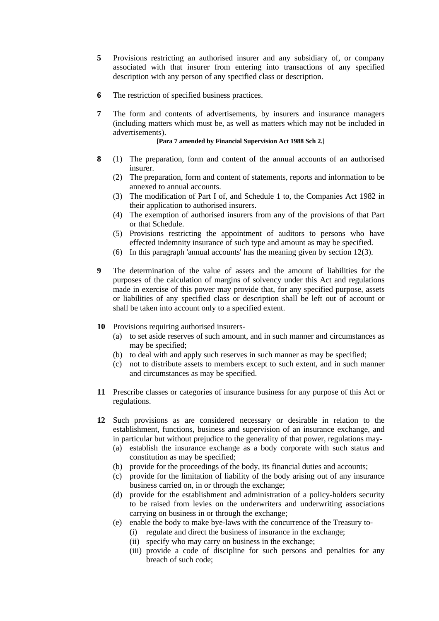- **5** Provisions restricting an authorised insurer and any subsidiary of, or company associated with that insurer from entering into transactions of any specified description with any person of any specified class or description.
- **6** The restriction of specified business practices.
- **7** The form and contents of advertisements, by insurers and insurance managers (including matters which must be, as well as matters which may not be included in advertisements).

**[Para 7 amended by Financial Supervision Act 1988 Sch 2.]**

- **8** (1) The preparation, form and content of the annual accounts of an authorised insurer.
	- (2) The preparation, form and content of statements, reports and information to be annexed to annual accounts.
	- (3) The modification of Part I of, and Schedule 1 to, the Companies Act 1982 in their application to authorised insurers.
	- (4) The exemption of authorised insurers from any of the provisions of that Part or that Schedule.
	- (5) Provisions restricting the appointment of auditors to persons who have effected indemnity insurance of such type and amount as may be specified.
	- (6) In this paragraph 'annual accounts' has the meaning given by section 12(3).
- **9** The determination of the value of assets and the amount of liabilities for the purposes of the calculation of margins of solvency under this Act and regulations made in exercise of this power may provide that, for any specified purpose, assets or liabilities of any specified class or description shall be left out of account or shall be taken into account only to a specified extent.
- **10** Provisions requiring authorised insurers-
	- (a) to set aside reserves of such amount, and in such manner and circumstances as may be specified;
	- (b) to deal with and apply such reserves in such manner as may be specified;
	- (c) not to distribute assets to members except to such extent, and in such manner and circumstances as may be specified.
- **11** Prescribe classes or categories of insurance business for any purpose of this Act or regulations.
- **12** Such provisions as are considered necessary or desirable in relation to the establishment, functions, business and supervision of an insurance exchange, and in particular but without prejudice to the generality of that power, regulations may-
	- (a) establish the insurance exchange as a body corporate with such status and constitution as may be specified;
	- (b) provide for the proceedings of the body, its financial duties and accounts;
	- (c) provide for the limitation of liability of the body arising out of any insurance business carried on, in or through the exchange;
	- (d) provide for the establishment and administration of a policy-holders security to be raised from levies on the underwriters and underwriting associations carrying on business in or through the exchange;
	- (e) enable the body to make bye-laws with the concurrence of the Treasury to-
		- (i) regulate and direct the business of insurance in the exchange;
		- (ii) specify who may carry on business in the exchange;
		- (iii) provide a code of discipline for such persons and penalties for any breach of such code;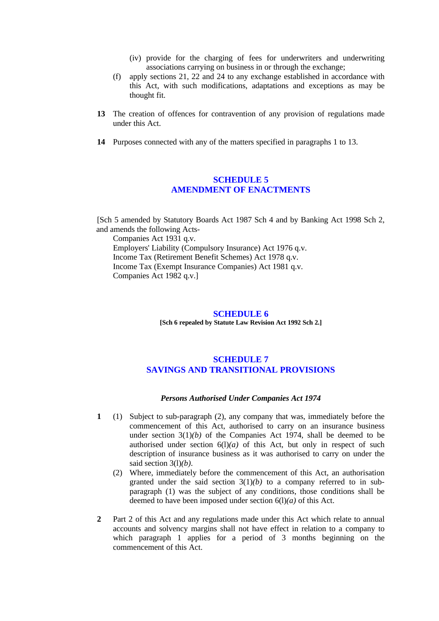- (iv) provide for the charging of fees for underwriters and underwriting associations carrying on business in or through the exchange;
- (f) apply sections 21, 22 and 24 to any exchange established in accordance with this Act, with such modifications, adaptations and exceptions as may be thought fit.
- **13** The creation of offences for contravention of any provision of regulations made under this Act.
- **14** Purposes connected with any of the matters specified in paragraphs 1 to 13.

# **SCHEDULE 5 AMENDMENT OF ENACTMENTS**

[Sch 5 amended by Statutory Boards Act 1987 Sch 4 and by Banking Act 1998 Sch 2, and amends the following Acts-Companies Act 1931 q.v. Employers' Liability (Compulsory Insurance) Act 1976 q.v. Income Tax (Retirement Benefit Schemes) Act 1978 q.v. Income Tax (Exempt Insurance Companies) Act 1981 q.v.

Companies Act 1982 q.v.]

#### **SCHEDULE 6**

**[Sch 6 repealed by Statute Law Revision Act 1992 Sch 2.]**

# **SCHEDULE 7 SAVINGS AND TRANSITIONAL PROVISIONS**

#### *Persons Authorised Under Companies Act 1974*

- **1** (1) Subject to sub-paragraph (2), any company that was, immediately before the commencement of this Act, authorised to carry on an insurance business under section  $3(1)(b)$  of the Companies Act 1974, shall be deemed to be authorised under section  $6(1)(a)$  of this Act, but only in respect of such description of insurance business as it was authorised to carry on under the said section 3(l)*(b)*.
	- (2) Where, immediately before the commencement of this Act, an authorisation granted under the said section  $3(1)(b)$  to a company referred to in subparagraph (1) was the subject of any conditions, those conditions shall be deemed to have been imposed under section 6(l)*(a)* of this Act.
- **2** Part 2 of this Act and any regulations made under this Act which relate to annual accounts and solvency margins shall not have effect in relation to a company to which paragraph 1 applies for a period of 3 months beginning on the commencement of this Act.